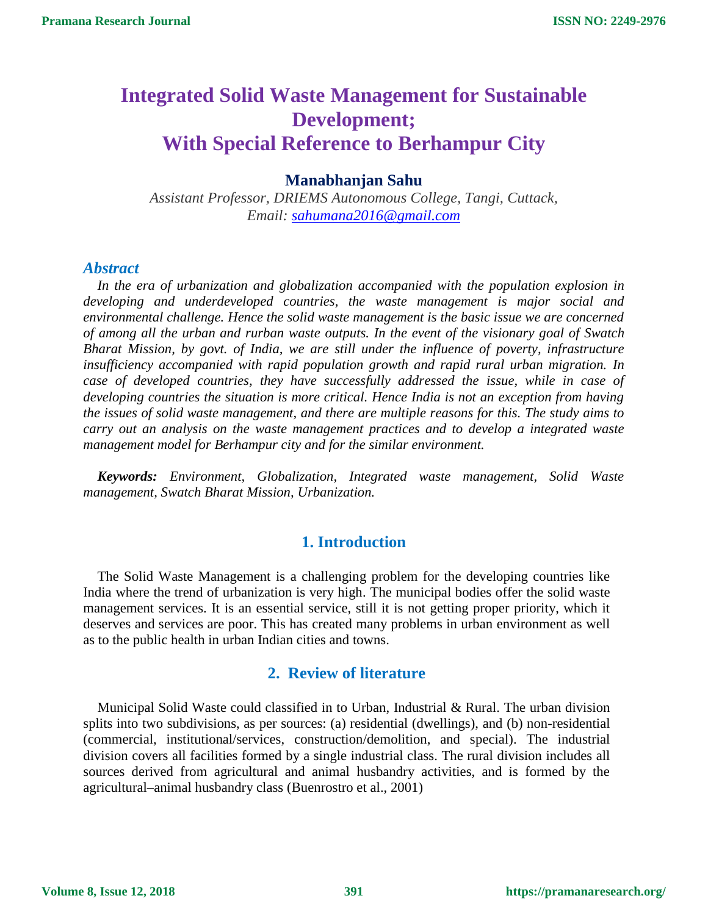# **Integrated Solid Waste Management for Sustainable Development; With Special Reference to Berhampur City**

# **Manabhanjan Sahu**

*Assistant Professor, DRIEMS Autonomous College, Tangi, Cuttack, Email: [sahumana2016@gmail.com](mailto:sahumana2016@gmail.com)*

### *Abstract*

*In the era of urbanization and globalization accompanied with the population explosion in developing and underdeveloped countries, the waste management is major social and environmental challenge. Hence the solid waste management is the basic issue we are concerned of among all the urban and rurban waste outputs. In the event of the visionary goal of Swatch Bharat Mission, by govt. of India, we are still under the influence of poverty, infrastructure insufficiency accompanied with rapid population growth and rapid rural urban migration. In case of developed countries, they have successfully addressed the issue, while in case of developing countries the situation is more critical. Hence India is not an exception from having the issues of solid waste management, and there are multiple reasons for this. The study aims to carry out an analysis on the waste management practices and to develop a integrated waste management model for Berhampur city and for the similar environment.* 

*Keywords: Environment, Globalization, Integrated waste management, Solid Waste management, Swatch Bharat Mission, Urbanization.*

# **1. Introduction**

The Solid Waste Management is a challenging problem for the developing countries like India where the trend of urbanization is very high. The municipal bodies offer the solid waste management services. It is an essential service, still it is not getting proper priority, which it deserves and services are poor. This has created many problems in urban environment as well as to the public health in urban Indian cities and towns.

# **2. Review of literature**

Municipal Solid Waste could classified in to Urban, Industrial & Rural. The urban division splits into two subdivisions, as per sources: (a) residential (dwellings), and (b) non-residential (commercial, institutional/services, construction/demolition, and special). The industrial division covers all facilities formed by a single industrial class. The rural division includes all sources derived from agricultural and animal husbandry activities, and is formed by the agricultural–animal husbandry class (Buenrostro et al., 2001)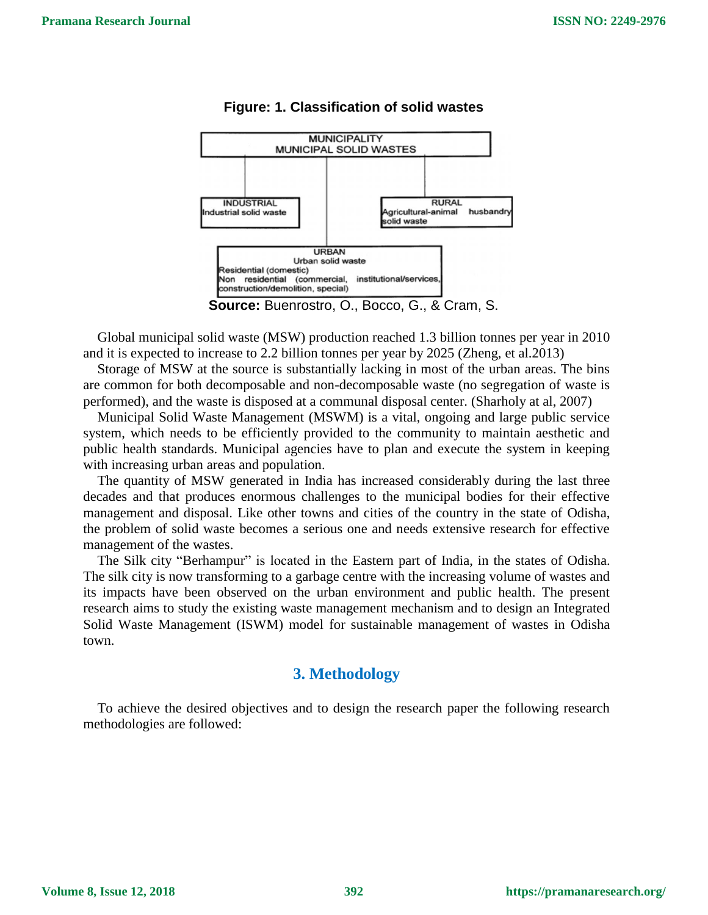

### **Figure: 1. Classification of solid wastes**

**Source:** Buenrostro, O., Bocco, G., & Cram, S.

Global municipal solid waste (MSW) production reached 1.3 billion tonnes per year in 2010 and it is expected to increase to 2.2 billion tonnes per year by 2025 (Zheng, et al.2013)

Storage of MSW at the source is substantially lacking in most of the urban areas. The bins are common for both decomposable and non-decomposable waste (no segregation of waste is performed), and the waste is disposed at a communal disposal center. (Sharholy at al, 2007)

Municipal Solid Waste Management (MSWM) is a vital, ongoing and large public service system, which needs to be efficiently provided to the community to maintain aesthetic and public health standards. Municipal agencies have to plan and execute the system in keeping with increasing urban areas and population.

The quantity of MSW generated in India has increased considerably during the last three decades and that produces enormous challenges to the municipal bodies for their effective management and disposal. Like other towns and cities of the country in the state of Odisha, the problem of solid waste becomes a serious one and needs extensive research for effective management of the wastes.

The Silk city "Berhampur" is located in the Eastern part of India, in the states of Odisha. The silk city is now transforming to a garbage centre with the increasing volume of wastes and its impacts have been observed on the urban environment and public health. The present research aims to study the existing waste management mechanism and to design an Integrated Solid Waste Management (ISWM) model for sustainable management of wastes in Odisha town.

# **3. Methodology**

To achieve the desired objectives and to design the research paper the following research methodologies are followed: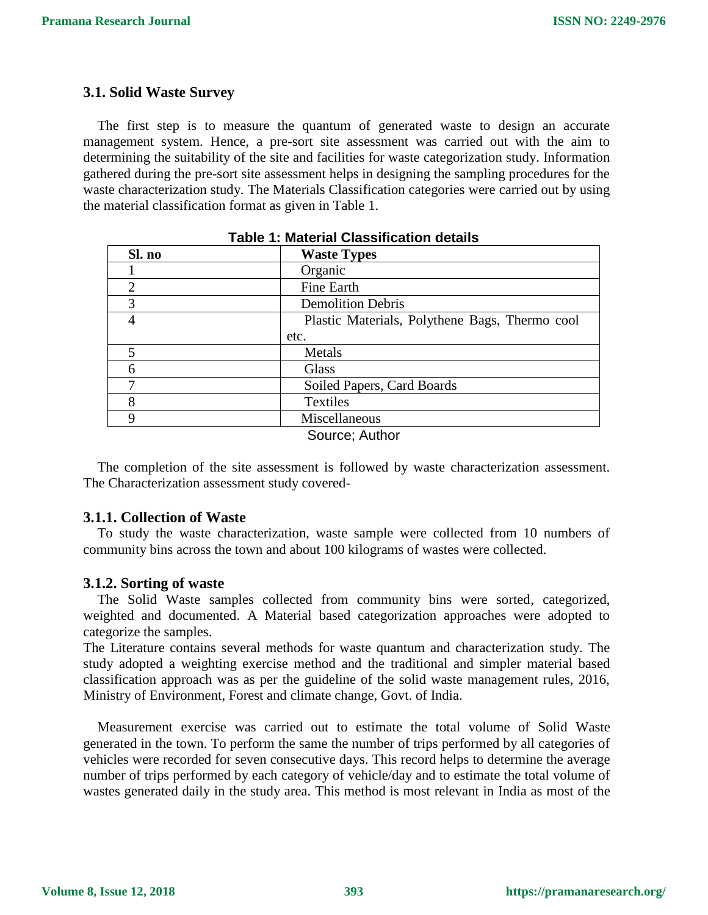# **3.1. Solid Waste Survey**

The first step is to measure the quantum of generated waste to design an accurate management system. Hence, a pre-sort site assessment was carried out with the aim to determining the suitability of the site and facilities for waste categorization study. Information gathered during the pre-sort site assessment helps in designing the sampling procedures for the waste characterization study. The Materials Classification categories were carried out by using the material classification format as given in Table 1.

| Sl. no | <b>Waste Types</b>                             |
|--------|------------------------------------------------|
|        | Organic                                        |
| 2      | Fine Earth                                     |
| 3      | <b>Demolition Debris</b>                       |
|        | Plastic Materials, Polythene Bags, Thermo cool |
|        | etc.                                           |
| 5      | Metals                                         |
| 6      | Glass                                          |
|        | Soiled Papers, Card Boards                     |
| 8      | <b>Textiles</b>                                |
| q      | Miscellaneous                                  |
|        | S <sub>OM</sub> irca: Author                   |

#### **Table 1: Material Classification details**

Source; Author

The completion of the site assessment is followed by waste characterization assessment. The Characterization assessment study covered-

### **3.1.1. Collection of Waste**

To study the waste characterization, waste sample were collected from 10 numbers of community bins across the town and about 100 kilograms of wastes were collected.

### **3.1.2. Sorting of waste**

The Solid Waste samples collected from community bins were sorted, categorized, weighted and documented. A Material based categorization approaches were adopted to categorize the samples.

The Literature contains several methods for waste quantum and characterization study. The study adopted a weighting exercise method and the traditional and simpler material based classification approach was as per the guideline of the solid waste management rules, 2016, Ministry of Environment, Forest and climate change, Govt. of India.

Measurement exercise was carried out to estimate the total volume of Solid Waste generated in the town. To perform the same the number of trips performed by all categories of vehicles were recorded for seven consecutive days. This record helps to determine the average number of trips performed by each category of vehicle/day and to estimate the total volume of wastes generated daily in the study area. This method is most relevant in India as most of the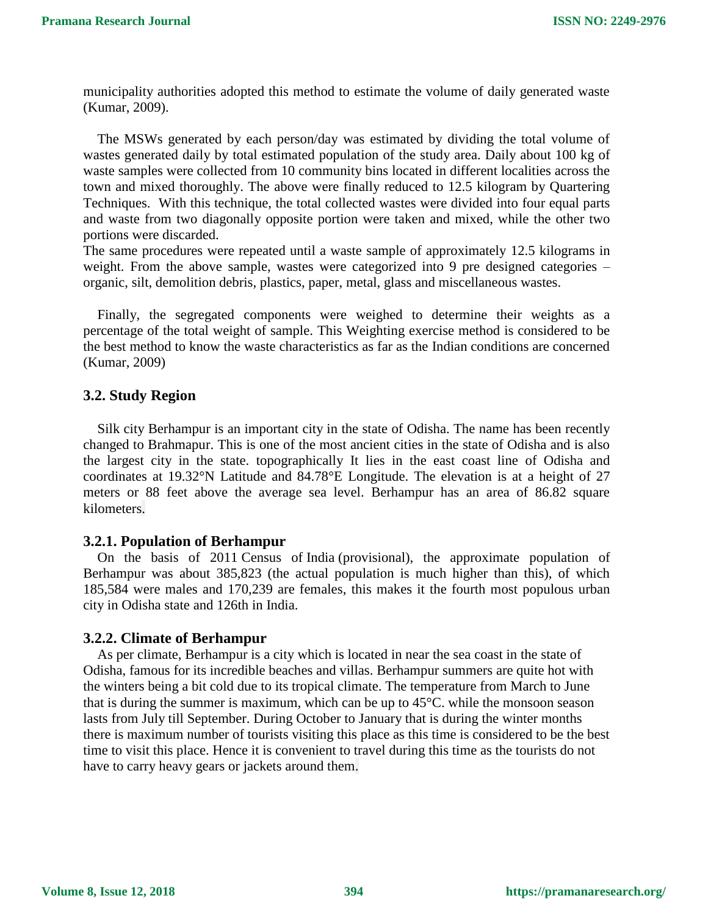municipality authorities adopted this method to estimate the volume of daily generated waste (Kumar, 2009).

The MSWs generated by each person/day was estimated by dividing the total volume of wastes generated daily by total estimated population of the study area. Daily about 100 kg of waste samples were collected from 10 community bins located in different localities across the town and mixed thoroughly. The above were finally reduced to 12.5 kilogram by Quartering Techniques. With this technique, the total collected wastes were divided into four equal parts and waste from two diagonally opposite portion were taken and mixed, while the other two portions were discarded.

The same procedures were repeated until a waste sample of approximately 12.5 kilograms in weight. From the above sample, wastes were categorized into 9 pre designed categories – organic, silt, demolition debris, plastics, paper, metal, glass and miscellaneous wastes.

Finally, the segregated components were weighed to determine their weights as a percentage of the total weight of sample. This Weighting exercise method is considered to be the best method to know the waste characteristics as far as the Indian conditions are concerned (Kumar, 2009)

# **3.2. Study Region**

Silk city Berhampur is an important city in the state of Odisha. The name has been recently changed to Brahmapur. This is one of the most ancient cities in the state of Odisha and is also the largest city in the state. topographically It lies in the east coast line of Odisha and coordinates at 19.32°N Latitude and 84.78°E Longitude. The elevation is at a height of 27 meters or 88 feet above the average sea level. Berhampur has an area of 86.82 square kilometers.

# **3.2.1. Population of Berhampur**

On the basis of 2011 Census of India (provisional), the approximate population of Berhampur was about 385,823 (the actual population is much higher than this), of which 185,584 were males and 170,239 are females, this makes it the fourth most populous urban city in Odisha state and 126th in India.

# **3.2.2. Climate of Berhampur**

As per climate, Berhampur is a city which is located in near the sea coast in the state of Odisha, famous for its incredible beaches and villas. Berhampur summers are quite hot with the winters being a bit cold due to its tropical climate. The temperature from March to June that is during the summer is maximum, which can be up to 45°C. while the monsoon season lasts from July till September. During October to January that is during the winter months there is maximum number of tourists visiting this place as this time is considered to be the best time to visit this place. Hence it is convenient to travel during this time as the tourists do not have to carry heavy gears or jackets around them.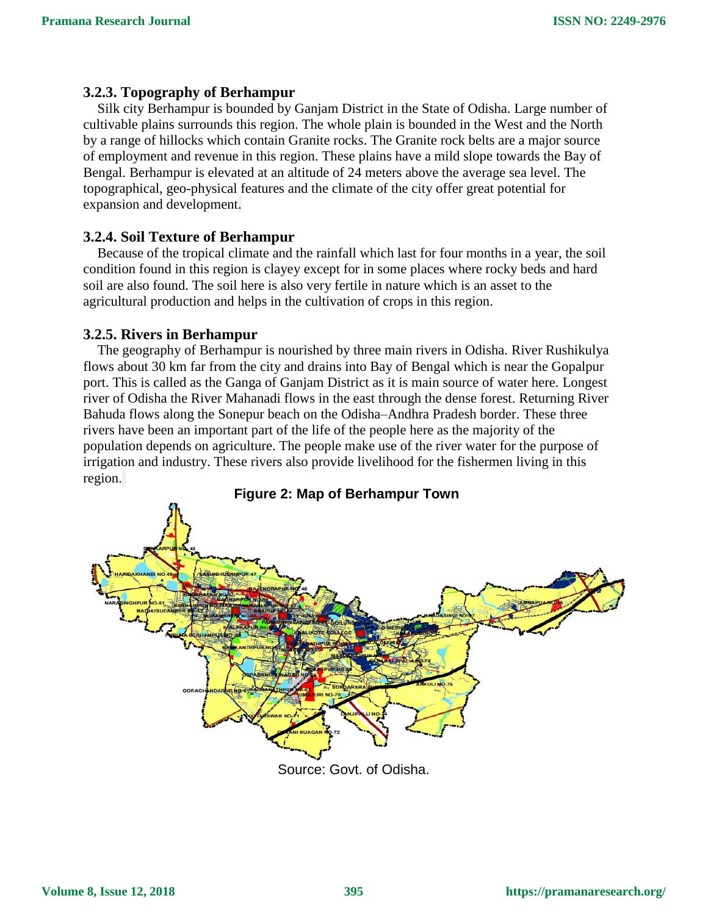# **3.2.3. Topography of Berhampur**

Silk city Berhampur is bounded by Ganjam District in the State of Odisha. Large number of cultivable plains surrounds this region. The whole plain is bounded in the West and the North by a range of hillocks which contain Granite rocks. The Granite rock belts are a major source of employment and revenue in this region. These plains have a mild slope towards the Bay of Bengal. Berhampur is elevated at an altitude of 24 meters above the average sea level. The topographical, geo-physical features and the climate of the city offer great potential for expansion and development.

# **3.2.4. Soil Texture of Berhampur**

Because of the tropical climate and the rainfall which last for four months in a year, the soil condition found in this region is clayey except for in some places where rocky beds and hard soil are also found. The soil here is also very fertile in nature which is an asset to the agricultural production and helps in the cultivation of crops in this region.

### **3.2.5. Rivers in Berhampur**

The geography of Berhampur is nourished by three main rivers in Odisha. River Rushikulya flows about 30 km far from the city and drains into Bay of Bengal which is near the Gopalpur port. This is called as the Ganga of Ganjam District as it is main source of water here. Longest river of Odisha the River Mahanadi flows in the east through the dense forest. Returning River Bahuda flows along the Sonepur beach on the Odisha–Andhra Pradesh border. These three rivers have been an important part of the life of the people here as the majority of the population depends on agriculture. The people make use of the river water for the purpose of irrigation and industry. These rivers also provide livelihood for the fishermen living in this region.



Source: Govt. of Odisha.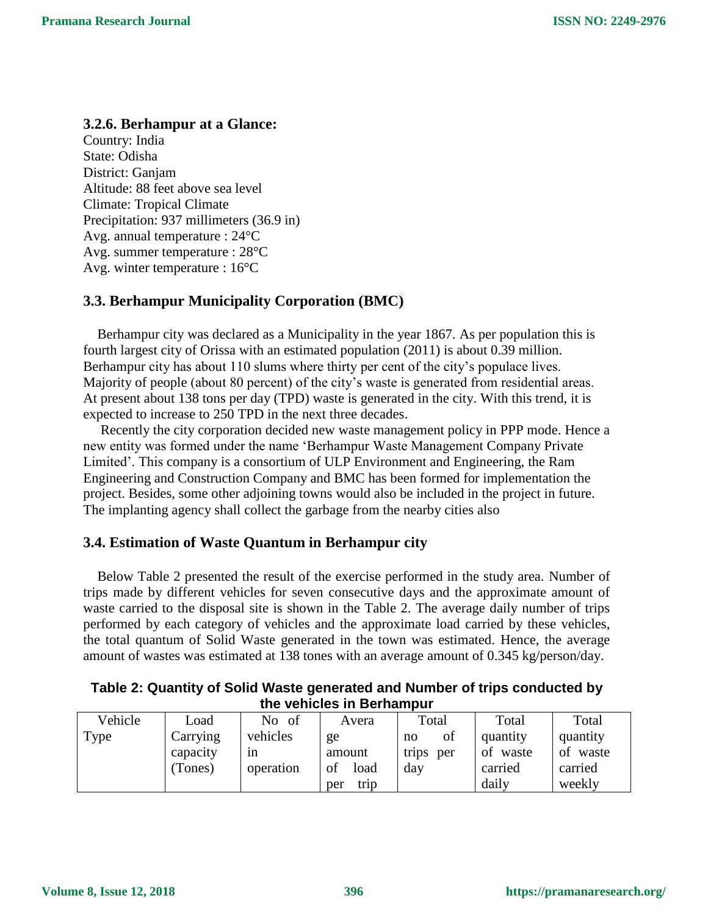# **3.2.6. Berhampur at a Glance:**

Country: India State: Odisha District: Ganjam Altitude: 88 feet above sea level Climate: Tropical Climate Precipitation: 937 millimeters (36.9 in) Avg. annual temperature : 24°C Avg. summer temperature : 28°C Avg. winter temperature : 16°C

# **3.3. Berhampur Municipality Corporation (BMC)**

Berhampur city was declared as a Municipality in the year 1867. As per population this is fourth largest city of Orissa with an estimated population (2011) is about 0.39 million. Berhampur city has about 110 slums where thirty per cent of the city's populace lives. Majority of people (about 80 percent) of the city's waste is generated from residential areas. At present about 138 tons per day (TPD) waste is generated in the city. With this trend, it is expected to increase to 250 TPD in the next three decades.

 Recently the city corporation decided new waste management policy in PPP mode. Hence a new entity was formed under the name 'Berhampur Waste Management Company Private Limited'. This company is a consortium of ULP Environment and Engineering, the Ram Engineering and Construction Company and BMC has been formed for implementation the project. Besides, some other adjoining towns would also be included in the project in future. The implanting agency shall collect the garbage from the nearby cities also

# **3.4. Estimation of Waste Quantum in Berhampur city**

Below Table 2 presented the result of the exercise performed in the study area. Number of trips made by different vehicles for seven consecutive days and the approximate amount of waste carried to the disposal site is shown in the Table 2. The average daily number of trips performed by each category of vehicles and the approximate load carried by these vehicles, the total quantum of Solid Waste generated in the town was estimated. Hence, the average amount of wastes was estimated at 138 tones with an average amount of 0.345 kg/person/day.

|         |      | rable 2: Quantity of Solid waste generated and Number of trips conducted by | the vehicles in Berhampur |       |       |       |
|---------|------|-----------------------------------------------------------------------------|---------------------------|-------|-------|-------|
| Vehicle | ∟oad | No of                                                                       | Avera                     | Total | Total | Total |

**Table 2: Quantity of Solid Waste generated and Number of trips conducted by** 

| Vehicle | Load     | - of<br>No | Avera       | Total        | Total       | Total    |
|---------|----------|------------|-------------|--------------|-------------|----------|
| Type    | Carrying | vehicles   | ge          | of<br>no     | quantity    | quantity |
|         | capacity | 1n         | amount      | trips<br>per | waste<br>of | of waste |
|         | (Tones)  | operation  | of<br>load  | day          | carried     | carried  |
|         |          |            | trip<br>per |              | daily       | weekly   |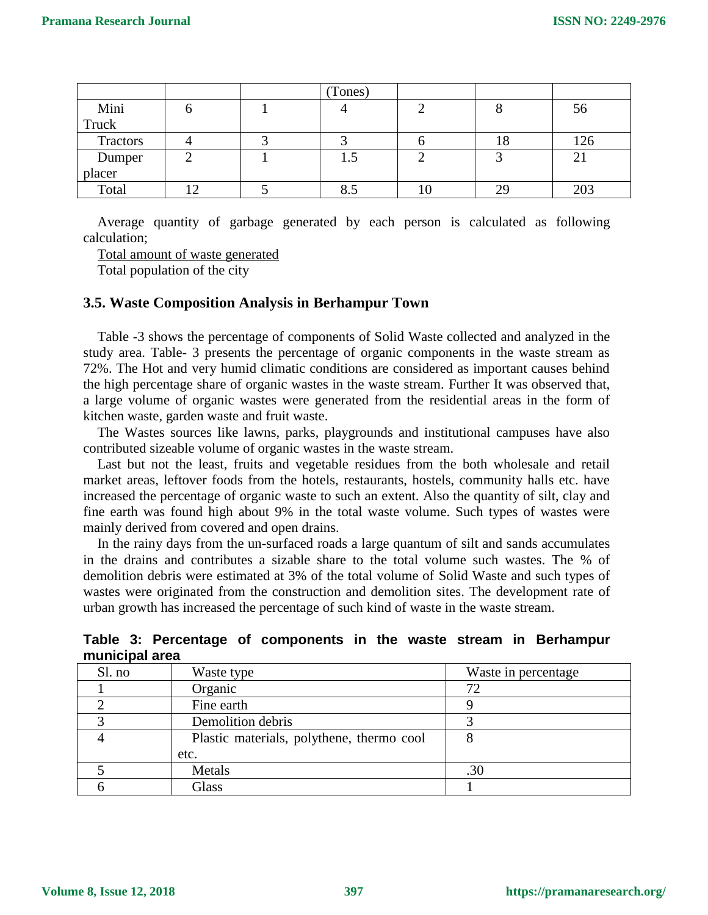|                  |  | (Tones)  |    |    |            |
|------------------|--|----------|----|----|------------|
| Mini             |  |          |    |    | 56         |
| Truck            |  |          |    |    |            |
| Tractors         |  |          |    | ιŏ | 126        |
| Dumper<br>placer |  | L.J      |    |    | $\angle$ 1 |
|                  |  |          |    |    |            |
| Total            |  | О<br>ი.ა | ΙV | 29 | 203        |

Average quantity of garbage generated by each person is calculated as following calculation;

Total amount of waste generated

Total population of the city

# **3.5. Waste Composition Analysis in Berhampur Town**

Table -3 shows the percentage of components of Solid Waste collected and analyzed in the study area. Table- 3 presents the percentage of organic components in the waste stream as 72%. The Hot and very humid climatic conditions are considered as important causes behind the high percentage share of organic wastes in the waste stream. Further It was observed that, a large volume of organic wastes were generated from the residential areas in the form of kitchen waste, garden waste and fruit waste.

The Wastes sources like lawns, parks, playgrounds and institutional campuses have also contributed sizeable volume of organic wastes in the waste stream.

Last but not the least, fruits and vegetable residues from the both wholesale and retail market areas, leftover foods from the hotels, restaurants, hostels, community halls etc. have increased the percentage of organic waste to such an extent. Also the quantity of silt, clay and fine earth was found high about 9% in the total waste volume. Such types of wastes were mainly derived from covered and open drains.

In the rainy days from the un-surfaced roads a large quantum of silt and sands accumulates in the drains and contributes a sizable share to the total volume such wastes. The % of demolition debris were estimated at 3% of the total volume of Solid Waste and such types of wastes were originated from the construction and demolition sites. The development rate of urban growth has increased the percentage of such kind of waste in the waste stream.

|                |  | Table 3: Percentage of components in the waste stream in Berhampur |  |  |  |
|----------------|--|--------------------------------------------------------------------|--|--|--|
| municipal area |  |                                                                    |  |  |  |

| Sl. no | Waste type                                | Waste in percentage |
|--------|-------------------------------------------|---------------------|
|        | Organic                                   |                     |
|        | Fine earth                                |                     |
|        | Demolition debris                         |                     |
|        | Plastic materials, polythene, thermo cool |                     |
|        | etc.                                      |                     |
|        | Metals                                    | .30                 |
|        | Glass                                     |                     |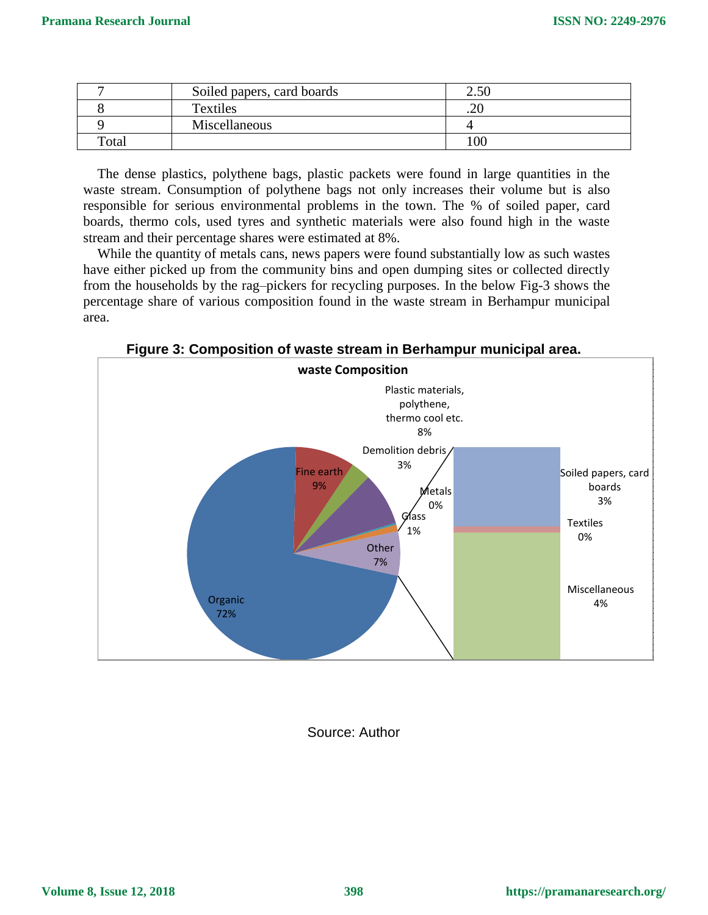|       | Soiled papers, card boards | 2.50 |
|-------|----------------------------|------|
|       | Textiles                   | .ZU  |
|       | Miscellaneous              |      |
| Total |                            | 100  |

The dense plastics, polythene bags, plastic packets were found in large quantities in the waste stream. Consumption of polythene bags not only increases their volume but is also responsible for serious environmental problems in the town. The % of soiled paper, card boards, thermo cols, used tyres and synthetic materials were also found high in the waste stream and their percentage shares were estimated at 8%.

While the quantity of metals cans, news papers were found substantially low as such wastes have either picked up from the community bins and open dumping sites or collected directly from the households by the rag–pickers for recycling purposes. In the below Fig-3 shows the percentage share of various composition found in the waste stream in Berhampur municipal area.

**Figure 3: Composition of waste stream in Berhampur municipal area.**



Source: Author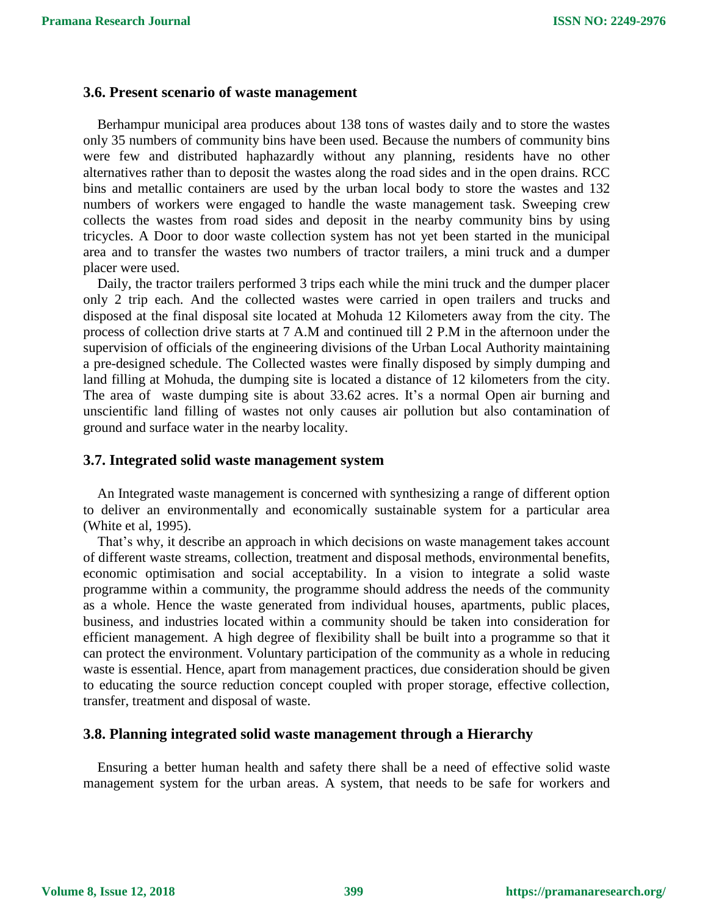### **3.6. Present scenario of waste management**

Berhampur municipal area produces about 138 tons of wastes daily and to store the wastes only 35 numbers of community bins have been used. Because the numbers of community bins were few and distributed haphazardly without any planning, residents have no other alternatives rather than to deposit the wastes along the road sides and in the open drains. RCC bins and metallic containers are used by the urban local body to store the wastes and 132 numbers of workers were engaged to handle the waste management task. Sweeping crew collects the wastes from road sides and deposit in the nearby community bins by using tricycles. A Door to door waste collection system has not yet been started in the municipal area and to transfer the wastes two numbers of tractor trailers, a mini truck and a dumper placer were used.

Daily, the tractor trailers performed 3 trips each while the mini truck and the dumper placer only 2 trip each. And the collected wastes were carried in open trailers and trucks and disposed at the final disposal site located at Mohuda 12 Kilometers away from the city. The process of collection drive starts at 7 A.M and continued till 2 P.M in the afternoon under the supervision of officials of the engineering divisions of the Urban Local Authority maintaining a pre-designed schedule. The Collected wastes were finally disposed by simply dumping and land filling at Mohuda, the dumping site is located a distance of 12 kilometers from the city. The area of waste dumping site is about 33.62 acres. It's a normal Open air burning and unscientific land filling of wastes not only causes air pollution but also contamination of ground and surface water in the nearby locality.

#### **3.7. Integrated solid waste management system**

An Integrated waste management is concerned with synthesizing a range of different option to deliver an environmentally and economically sustainable system for a particular area (White et al, 1995).

That's why, it describe an approach in which decisions on waste management takes account of different waste streams, collection, treatment and disposal methods, environmental benefits, economic optimisation and social acceptability. In a vision to integrate a solid waste programme within a community, the programme should address the needs of the community as a whole. Hence the waste generated from individual houses, apartments, public places, business, and industries located within a community should be taken into consideration for efficient management. A high degree of flexibility shall be built into a programme so that it can protect the environment. Voluntary participation of the community as a whole in reducing waste is essential. Hence, apart from management practices, due consideration should be given to educating the source reduction concept coupled with proper storage, effective collection, transfer, treatment and disposal of waste.

# **3.8. Planning integrated solid waste management through a Hierarchy**

Ensuring a better human health and safety there shall be a need of effective solid waste management system for the urban areas. A system, that needs to be safe for workers and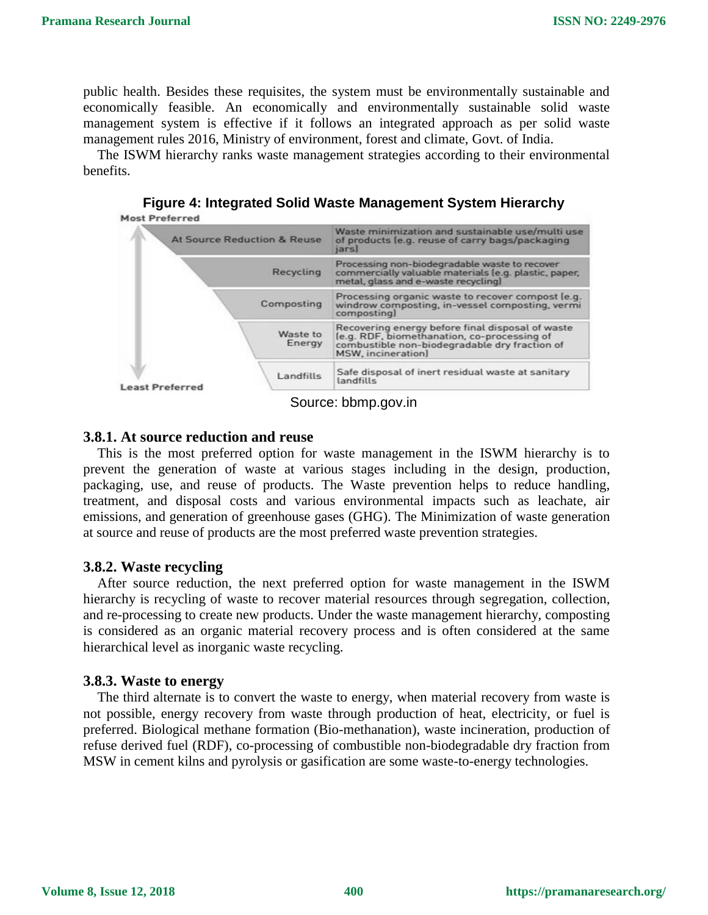public health. Besides these requisites, the system must be environmentally sustainable and economically feasible. An economically and environmentally sustainable solid waste management system is effective if it follows an integrated approach as per solid waste management rules 2016, Ministry of environment, forest and climate, Govt. of India.

The ISWM hierarchy ranks waste management strategies according to their environmental benefits.

**Figure 4: Integrated Solid Waste Management System Hierarchy Most Preferred** 

|                        | <b>At Source Reduction &amp; Reuse</b> | Waste minimization and sustainable use/multi use<br>of products (e.g. reuse of carry bags/packaging<br>jars                                                            |
|------------------------|----------------------------------------|------------------------------------------------------------------------------------------------------------------------------------------------------------------------|
|                        | Recycling                              | Processing non-biodegradable waste to recover<br>commercially valuable materials (e.g. plastic, paper,<br>metal, glass and e-waste recycling]                          |
|                        | Composting                             | Processing organic waste to recover compost [e.g.<br>windrow composting, in-vessel composting, vermi<br>composting)                                                    |
|                        | Waste to<br>Energy                     | Recovering energy before final disposal of waste<br>le.g. RDF, biomethanation, co-processing of<br>combustible non-biodegradable dry fraction of<br>MSW, incineration) |
| <b>Least Preferred</b> | Landfills                              | Safe disposal of inert residual waste at sanitary<br>landfills                                                                                                         |

Source: bbmp.gov.in

#### **3.8.1. At source reduction and reuse**

This is the most preferred option for waste management in the ISWM hierarchy is to prevent the generation of waste at various stages including in the design, production, packaging, use, and reuse of products. The Waste prevention helps to reduce handling, treatment, and disposal costs and various environmental impacts such as leachate, air emissions, and generation of greenhouse gases (GHG). The Minimization of waste generation at source and reuse of products are the most preferred waste prevention strategies.

### **3.8.2. Waste recycling**

After source reduction, the next preferred option for waste management in the ISWM hierarchy is recycling of waste to recover material resources through segregation, collection, and re-processing to create new products. Under the waste management hierarchy, composting is considered as an organic material recovery process and is often considered at the same hierarchical level as inorganic waste recycling.

#### **3.8.3. Waste to energy**

The third alternate is to convert the waste to energy, when material recovery from waste is not possible, energy recovery from waste through production of heat, electricity, or fuel is preferred. Biological methane formation (Bio-methanation), waste incineration, production of refuse derived fuel (RDF), co-processing of combustible non-biodegradable dry fraction from MSW in cement kilns and pyrolysis or gasification are some waste-to-energy technologies.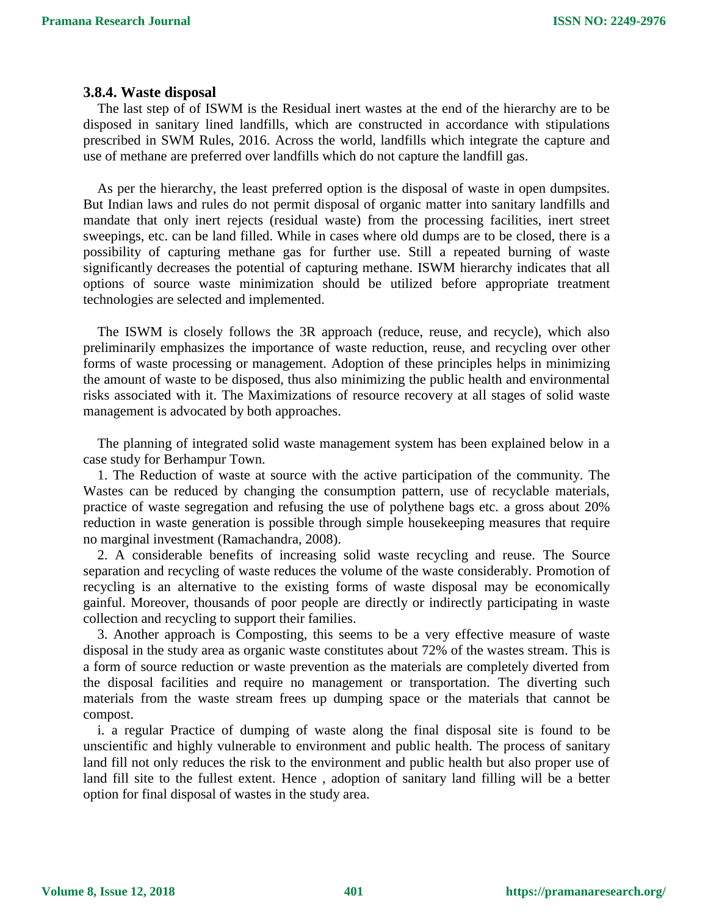### **3.8.4. Waste disposal**

The last step of of ISWM is the Residual inert wastes at the end of the hierarchy are to be disposed in sanitary lined landfills, which are constructed in accordance with stipulations prescribed in SWM Rules, 2016. Across the world, landfills which integrate the capture and use of methane are preferred over landfills which do not capture the landfill gas.

As per the hierarchy, the least preferred option is the disposal of waste in open dumpsites. But Indian laws and rules do not permit disposal of organic matter into sanitary landfills and mandate that only inert rejects (residual waste) from the processing facilities, inert street sweepings, etc. can be land filled. While in cases where old dumps are to be closed, there is a possibility of capturing methane gas for further use. Still a repeated burning of waste significantly decreases the potential of capturing methane. ISWM hierarchy indicates that all options of source waste minimization should be utilized before appropriate treatment technologies are selected and implemented.

The ISWM is closely follows the 3R approach (reduce, reuse, and recycle), which also preliminarily emphasizes the importance of waste reduction, reuse, and recycling over other forms of waste processing or management. Adoption of these principles helps in minimizing the amount of waste to be disposed, thus also minimizing the public health and environmental risks associated with it. The Maximizations of resource recovery at all stages of solid waste management is advocated by both approaches.

The planning of integrated solid waste management system has been explained below in a case study for Berhampur Town.

1. The Reduction of waste at source with the active participation of the community. The Wastes can be reduced by changing the consumption pattern, use of recyclable materials, practice of waste segregation and refusing the use of polythene bags etc. a gross about 20% reduction in waste generation is possible through simple housekeeping measures that require no marginal investment (Ramachandra, 2008).

2. A considerable benefits of increasing solid waste recycling and reuse. The Source separation and recycling of waste reduces the volume of the waste considerably. Promotion of recycling is an alternative to the existing forms of waste disposal may be economically gainful. Moreover, thousands of poor people are directly or indirectly participating in waste collection and recycling to support their families.

3. Another approach is Composting, this seems to be a very effective measure of waste disposal in the study area as organic waste constitutes about 72% of the wastes stream. This is a form of source reduction or waste prevention as the materials are completely diverted from the disposal facilities and require no management or transportation. The diverting such materials from the waste stream frees up dumping space or the materials that cannot be compost.

i. a regular Practice of dumping of waste along the final disposal site is found to be unscientific and highly vulnerable to environment and public health. The process of sanitary land fill not only reduces the risk to the environment and public health but also proper use of land fill site to the fullest extent. Hence , adoption of sanitary land filling will be a better option for final disposal of wastes in the study area.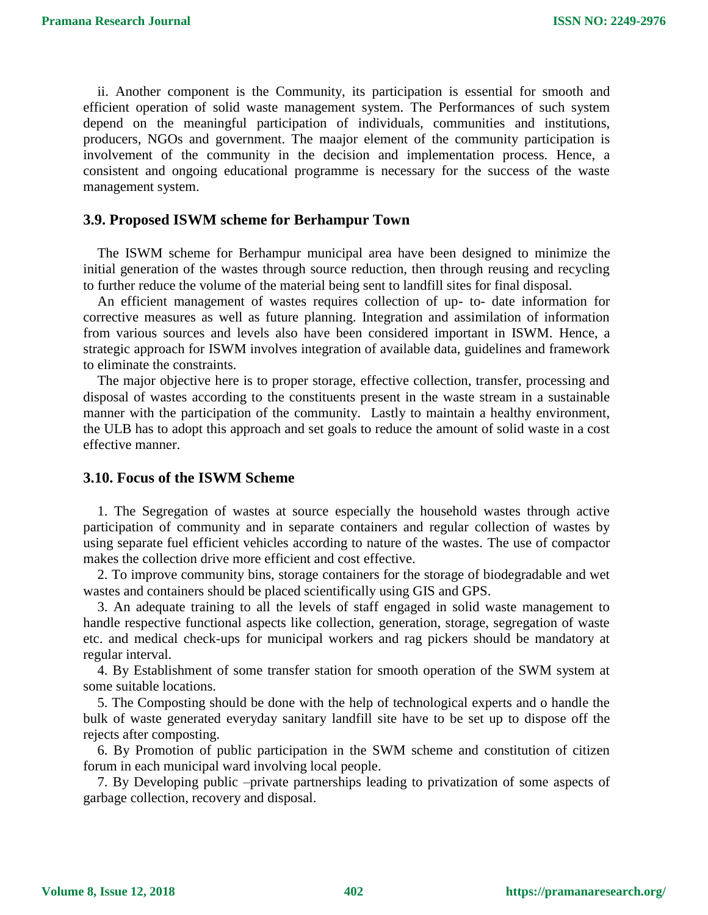ii. Another component is the Community, its participation is essential for smooth and efficient operation of solid waste management system. The Performances of such system depend on the meaningful participation of individuals, communities and institutions, producers, NGOs and government. The maajor element of the community participation is involvement of the community in the decision and implementation process. Hence, a consistent and ongoing educational programme is necessary for the success of the waste management system.

### **3.9. Proposed ISWM scheme for Berhampur Town**

The ISWM scheme for Berhampur municipal area have been designed to minimize the initial generation of the wastes through source reduction, then through reusing and recycling to further reduce the volume of the material being sent to landfill sites for final disposal.

An efficient management of wastes requires collection of up- to- date information for corrective measures as well as future planning. Integration and assimilation of information from various sources and levels also have been considered important in ISWM. Hence, a strategic approach for ISWM involves integration of available data, guidelines and framework to eliminate the constraints.

The major objective here is to proper storage, effective collection, transfer, processing and disposal of wastes according to the constituents present in the waste stream in a sustainable manner with the participation of the community. Lastly to maintain a healthy environment, the ULB has to adopt this approach and set goals to reduce the amount of solid waste in a cost effective manner.

### **3.10. Focus of the ISWM Scheme**

1. The Segregation of wastes at source especially the household wastes through active participation of community and in separate containers and regular collection of wastes by using separate fuel efficient vehicles according to nature of the wastes. The use of compactor makes the collection drive more efficient and cost effective.

2. To improve community bins, storage containers for the storage of biodegradable and wet wastes and containers should be placed scientifically using GIS and GPS.

3. An adequate training to all the levels of staff engaged in solid waste management to handle respective functional aspects like collection, generation, storage, segregation of waste etc. and medical check-ups for municipal workers and rag pickers should be mandatory at regular interval.

4. By Establishment of some transfer station for smooth operation of the SWM system at some suitable locations.

5. The Composting should be done with the help of technological experts and o handle the bulk of waste generated everyday sanitary landfill site have to be set up to dispose off the rejects after composting.

6. By Promotion of public participation in the SWM scheme and constitution of citizen forum in each municipal ward involving local people.

7. By Developing public –private partnerships leading to privatization of some aspects of garbage collection, recovery and disposal.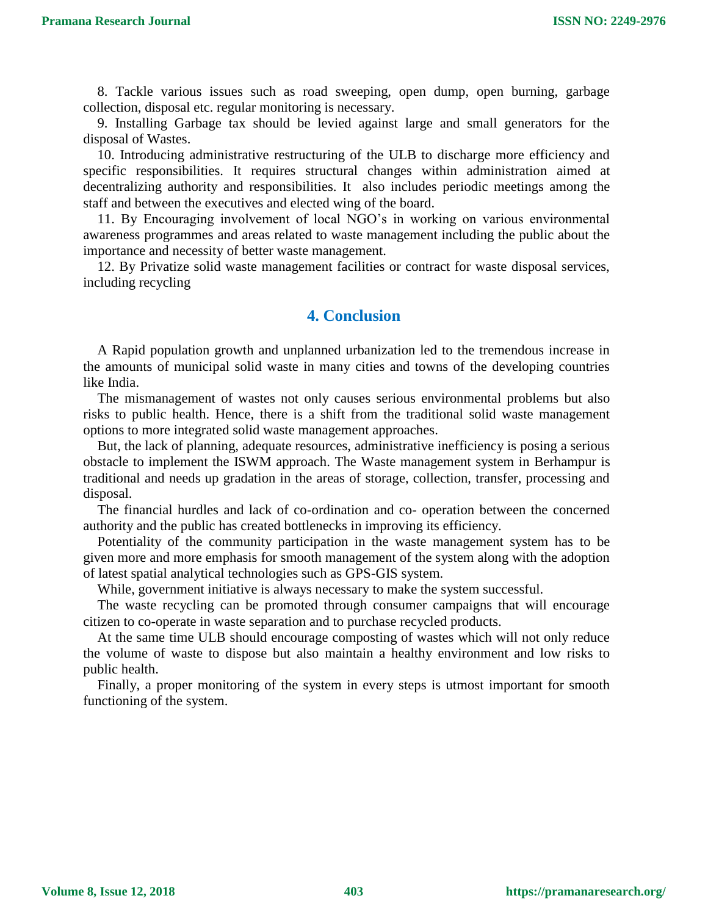8. Tackle various issues such as road sweeping, open dump, open burning, garbage collection, disposal etc. regular monitoring is necessary.

9. Installing Garbage tax should be levied against large and small generators for the disposal of Wastes.

10. Introducing administrative restructuring of the ULB to discharge more efficiency and specific responsibilities. It requires structural changes within administration aimed at decentralizing authority and responsibilities. It also includes periodic meetings among the staff and between the executives and elected wing of the board.

11. By Encouraging involvement of local NGO's in working on various environmental awareness programmes and areas related to waste management including the public about the importance and necessity of better waste management.

12. By Privatize solid waste management facilities or contract for waste disposal services, including recycling

# **4. Conclusion**

A Rapid population growth and unplanned urbanization led to the tremendous increase in the amounts of municipal solid waste in many cities and towns of the developing countries like India.

The mismanagement of wastes not only causes serious environmental problems but also risks to public health. Hence, there is a shift from the traditional solid waste management options to more integrated solid waste management approaches.

But, the lack of planning, adequate resources, administrative inefficiency is posing a serious obstacle to implement the ISWM approach. The Waste management system in Berhampur is traditional and needs up gradation in the areas of storage, collection, transfer, processing and disposal.

The financial hurdles and lack of co-ordination and co- operation between the concerned authority and the public has created bottlenecks in improving its efficiency.

Potentiality of the community participation in the waste management system has to be given more and more emphasis for smooth management of the system along with the adoption of latest spatial analytical technologies such as GPS-GIS system.

While, government initiative is always necessary to make the system successful.

The waste recycling can be promoted through consumer campaigns that will encourage citizen to co-operate in waste separation and to purchase recycled products.

At the same time ULB should encourage composting of wastes which will not only reduce the volume of waste to dispose but also maintain a healthy environment and low risks to public health.

Finally, a proper monitoring of the system in every steps is utmost important for smooth functioning of the system.

**Volume 8, Issue 12, 2018**

**403 https://pramanaresearch.org/**